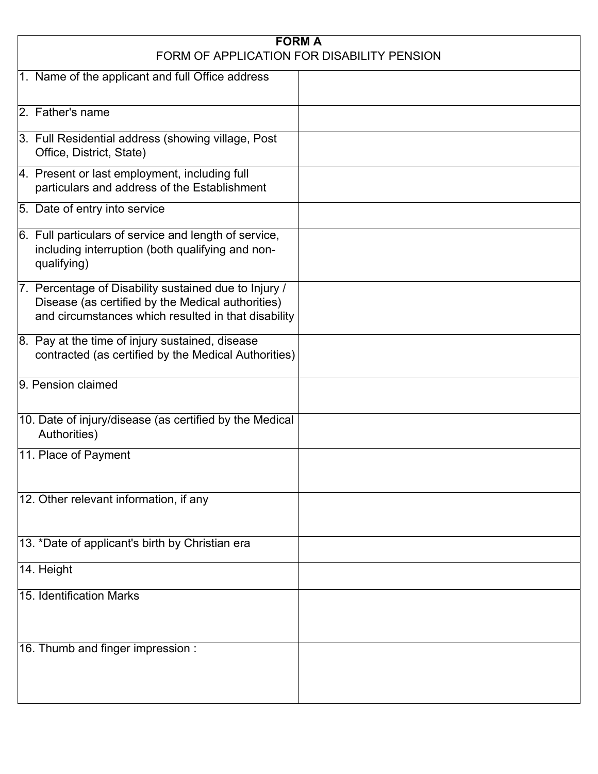| <b>FORM A</b><br>FORM OF APPLICATION FOR DISABILITY PENSION                                                                                                       |  |  |
|-------------------------------------------------------------------------------------------------------------------------------------------------------------------|--|--|
| 1. Name of the applicant and full Office address                                                                                                                  |  |  |
| 2. Father's name                                                                                                                                                  |  |  |
| 3. Full Residential address (showing village, Post<br>Office, District, State)                                                                                    |  |  |
| 4. Present or last employment, including full<br>particulars and address of the Establishment                                                                     |  |  |
| 5. Date of entry into service                                                                                                                                     |  |  |
| 6. Full particulars of service and length of service,<br>including interruption (both qualifying and non-<br>qualifying)                                          |  |  |
| 7. Percentage of Disability sustained due to Injury /<br>Disease (as certified by the Medical authorities)<br>and circumstances which resulted in that disability |  |  |
| 8. Pay at the time of injury sustained, disease<br>contracted (as certified by the Medical Authorities)                                                           |  |  |
| 9. Pension claimed                                                                                                                                                |  |  |
| 10. Date of injury/disease (as certified by the Medical<br>Authorities)                                                                                           |  |  |
| 11. Place of Payment                                                                                                                                              |  |  |
| 12. Other relevant information, if any                                                                                                                            |  |  |
| 13. *Date of applicant's birth by Christian era                                                                                                                   |  |  |
| 14. Height                                                                                                                                                        |  |  |
| 15. Identification Marks                                                                                                                                          |  |  |
| 16. Thumb and finger impression :                                                                                                                                 |  |  |